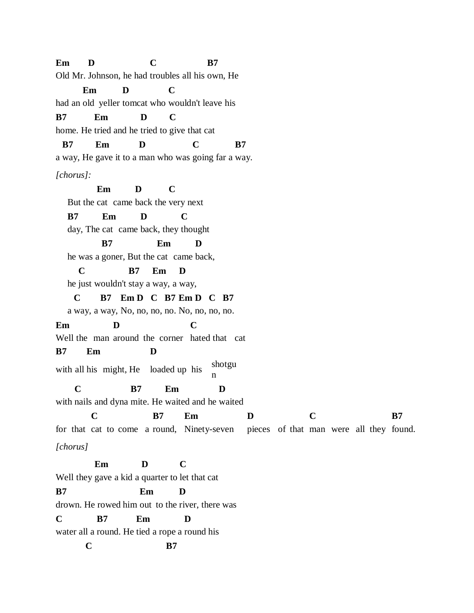**Em D C B7** Old Mr. Johnson, he had troubles all his own, He **Em D C** had an old yeller tomcat who wouldn't leave his **B7 Em D C** home. He tried and he tried to give that cat **B7 Em D C B7** a way, He gave it to a man who was going far a way. *[chorus]:* **Em D C** But the cat came back the very next **B7 Em D C** day, The cat came back, they thought **B7 Em D** he was a goner, But the cat came back, **C B7 Em D** he just wouldn't stay a way, a way, **C B7 Em D C B7 Em D C B7** a way, a way, No, no, no, no. No, no, no, no. **Em D C** Well the man around the corner hated that cat **B7 Em D** with all his might, He loaded up his shotgu n **C B7 Em D** with nails and dyna mite. He waited and he waited **C B7 Em D C B7** for that cat to come a round, Ninety-seven pieces of that man were all they found. *[chorus]* **Em D C** Well they gave a kid a quarter to let that cat **B7 Em D** drown. He rowed him out to the river, there was **C B7 Em D** water all a round. He tied a rope a round his **C B7**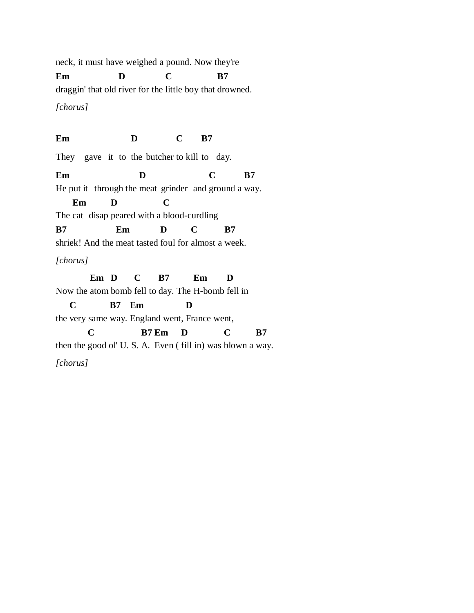neck, it must have weighed a pound. Now they're **Em D C B7** draggin' that old river for the little boy that drowned. *[chorus]* **Em D C B7**

They gave it to the butcher to kill to day.

**Em D C B7**

He put it through the meat grinder and ground a way.

**Em D C**

The cat disap peared with a blood-curdling

**B7 Em D C B7**

shriek! And the meat tasted foul for almost a week.

*[chorus]*

**Em D C B7 Em D** Now the atom bomb fell to day. The H-bomb fell in **C B7 Em D** the very same way. England went, France went, **C B7 Em D C B7** then the good ol' U. S. A. Even ( fill in) was blown a way.

*[chorus]*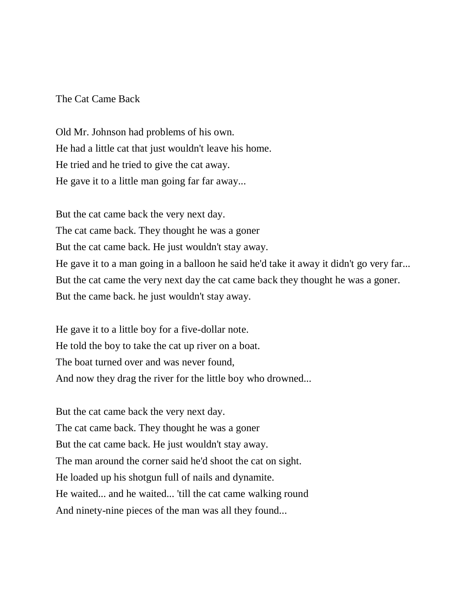## The Cat Came Back

Old Mr. Johnson had problems of his own. He had a little cat that just wouldn't leave his home. He tried and he tried to give the cat away. He gave it to a little man going far far away...

But the cat came back the very next day. The cat came back. They thought he was a goner But the cat came back. He just wouldn't stay away. He gave it to a man going in a balloon he said he'd take it away it didn't go very far... But the cat came the very next day the cat came back they thought he was a goner. But the came back. he just wouldn't stay away.

He gave it to a little boy for a five-dollar note. He told the boy to take the cat up river on a boat. The boat turned over and was never found, And now they drag the river for the little boy who drowned...

But the cat came back the very next day. The cat came back. They thought he was a goner But the cat came back. He just wouldn't stay away. The man around the corner said he'd shoot the cat on sight. He loaded up his shotgun full of nails and dynamite. He waited... and he waited... 'till the cat came walking round And ninety-nine pieces of the man was all they found...